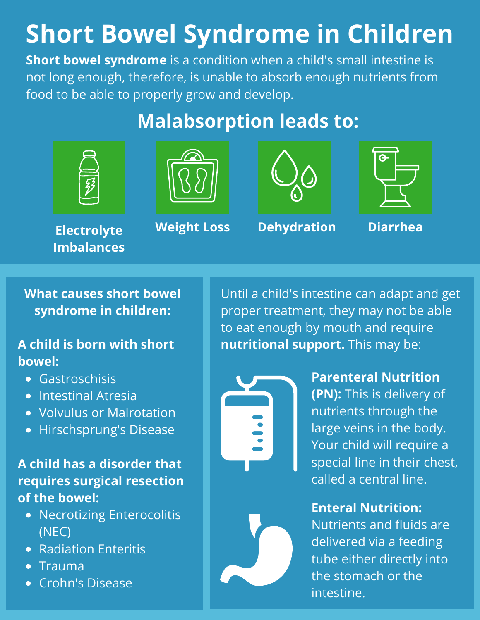# **Short Bowel Syndrome in Children**

**Short bowel syndrome** is a condition when a child's small intestine is not long enough, therefore, is unable to absorb enough nutrients from food to be able to properly grow and develop.

## **Malabsorption leads to:**











**Electrolyte Imbalances**

**What causes short bowel syndrome in children:**

#### **A child is born with short bowel:**

- Gastroschisis
- Intestinal Atresia
- Volvulus or Malrotation
- Hirschsprung's Disease

#### **A child has a disorder that requires surgical resection of the bowel:**

- Necrotizing Enterocolitis (NEC)
- Radiation Enteritis
- Trauma
- Crohn's Disease

Until a child's intestine can adapt and get proper treatment, they may not be able to eat enough by mouth and require **nutritional support.** This may be:



**Parenteral Nutrition (PN):** This is delivery of nutrients through the large veins in the body. Your child will require a special line in their chest, called a central line.

### **Enteral Nutrition:**

Nutrients and fluids are delivered via a feeding tube either directly into the stomach or the intestine.